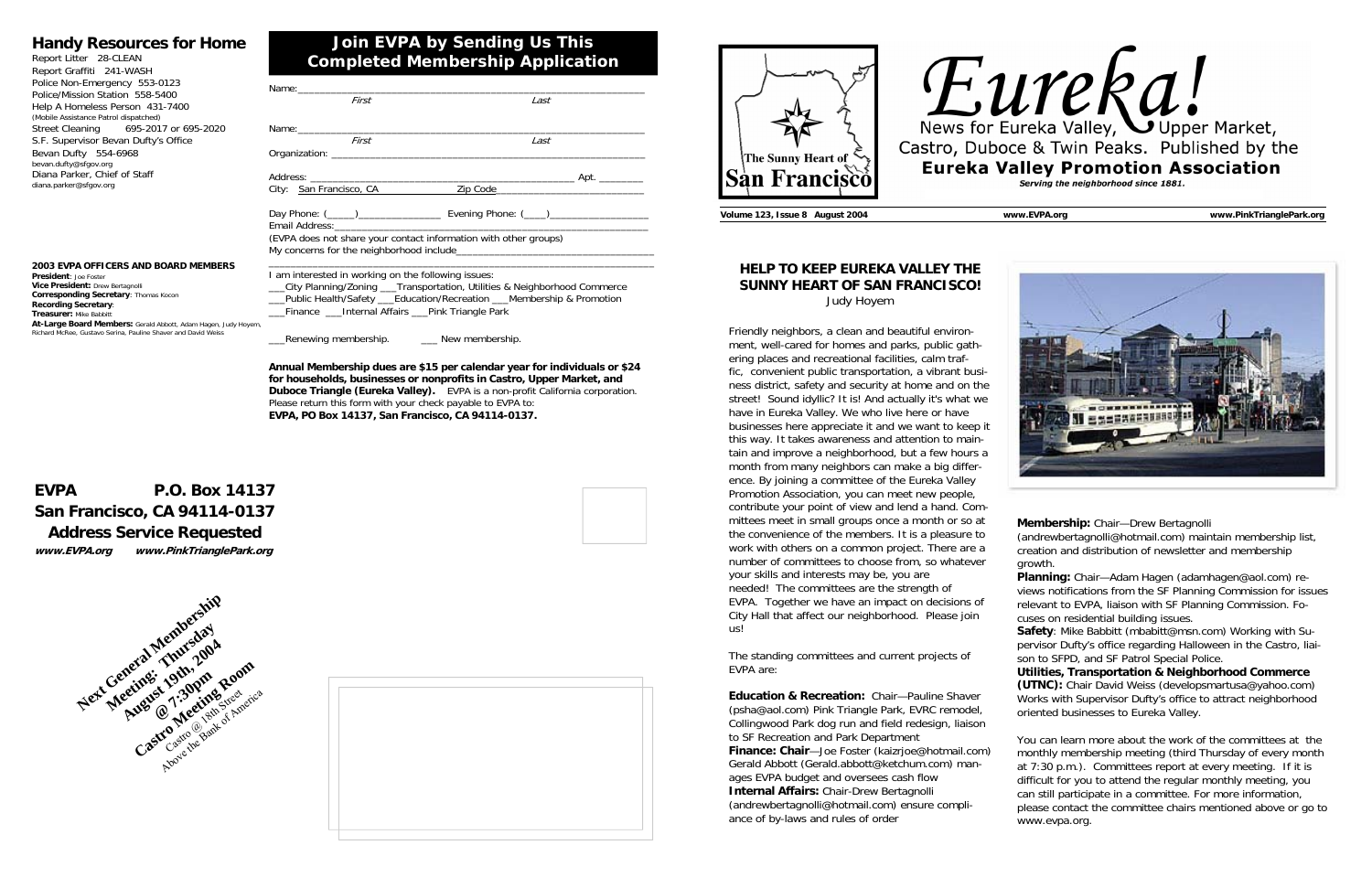







| First                                                                                                                                                                                                                                                               | Last                                  |
|---------------------------------------------------------------------------------------------------------------------------------------------------------------------------------------------------------------------------------------------------------------------|---------------------------------------|
| First                                                                                                                                                                                                                                                               | Last                                  |
|                                                                                                                                                                                                                                                                     |                                       |
|                                                                                                                                                                                                                                                                     | City: San Francisco, CA 2ip Code 2010 |
|                                                                                                                                                                                                                                                                     |                                       |
| (EVPA does not share your contact information with other groups)                                                                                                                                                                                                    |                                       |
| I am interested in working on the following issues:<br>__City Planning/Zoning ___Transportation, Utilities & Neighborhood Commerce<br>__Public Health/Safety ___Education/Recreation ___Membership & Promotion<br>__Finance __Internal Affairs __Pink Triangle Park |                                       |

\_\_\_Renewing membership. \_\_\_ New membership.

**Annual Membership dues are \$15 per calendar year for individuals or \$24 for households, businesses or nonprofits in Castro, Upper Market, and Duboce Triangle (Eureka Valley).** EVPA is a non-profit California corporation. Please return this form with your check payable to EVPA to: **EVPA, PO Box 14137, San Francisco, CA 94114-0137.**

## **Join EVPA by Sending Us This Completed Membership Application**

#### **Handy Resources for Home**

Report Litter 28-CLEAN Report Graffiti 241-WASH Police Non-Emergency 553-0123 Police/Mission Station 558-5400 Help A Homeless Person 431-7400 (Mobile Assistance Patrol dispatched) Street Cleaning 695-2017 or 695-2020 S.F. Supervisor Bevan Dufty's Office Bevan Dufty 554-6968 bevan.dufty@sfgov.org Diana Parker, Chief of Staff diana.parker@sfgov.org

## **EVPA P.O. Box 14137 San Francisco, CA 94114-0137 Address Service Requested www.EVPA.org www.PinkTrianglePark.org**



**2003 EVPA OFFICERS AND BOARD MEMBERS President**: Joe Foster**Vice President:** Drew Bertagnolli **Corresponding Secretary**: Thomas Kocon **Recording Secretary**: **Treasurer:** Mike Babbitt

 **At-Large Board Members:** Gerald Abbott, Adam Hagen, Judy Hoyem, Richard McRee, Gustavo Serina, Pauline Shaver and David Weiss

**Volume 123, Issue 8 August 2004 www.EVPA.org www.PinkTrianglePark.org** 

#### **HELP TO KEEP EUREKA VALLEY THE SUNNY HEART OF SAN FRANCISCO!** Judy Hoyem

Friendly neighbors, a clean and beautiful environment, well-cared for homes and parks, public gathering places and recreational facilities, calm traffic, convenient public transportation, a vibrant business district, safety and security at home and on the street! Sound idyllic? It is! And actually it's what we have in Eureka Valley. We who live here or have businesses here appreciate it and we want to keep it this way. It takes awareness and attention to maintain and improve a neighborhood, but a few hours a month from many neighbors can make a big difference. By joining a committee of the Eureka Valley Promotion Association, you can meet new people, contribute your point of view and lend a hand. Committees meet in small groups once a month or so at the convenience of the members. It is a pleasure to work with others on a common project. There are a number of committees to choose from, so whatever your skills and interests may be, you are needed! The committees are the strength of EVPA. Together we have an impact on decisions of City Hall that affect our neighborhood. Please join us!

The standing committees and current projects of EVPA are:

**Education & Recreation:** Chair—Pauline Shaver (psha@aol.com) Pink Triangle Park, EVRC remodel, Collingwood Park dog run and field redesign, liaison to SF Recreation and Park Department **Finance: Chair**—Joe Foster (kaizrjoe@hotmail.com) Gerald Abbott (Gerald.abbott@ketchum.com) manages EVPA budget and oversees cash flow **Internal Affairs:** Chair-Drew Bertagnolli (andrewbertagnolli@hotmail.com) ensure compliance of by-laws and rules of order

# Eureka Valley, OUPPER Market, Castro, Duboce & Twin Peaks. Published by the **Eureka Valley Promotion Association** Serving the neighborhood since 1881.



**Membership:** Chair—Drew Bertagnolli

(andrewbertagnolli@hotmail.com) maintain membership list, creation and distribution of newsletter and membership growth.

**Planning:** Chair—Adam Hagen (adamhagen@aol.com) reviews notifications from the SF Planning Commission for issues relevant to EVPA, liaison with SF Planning Commission. Focuses on residential building issues.

**Safety**: Mike Babbitt (mbabitt@msn.com) Working with Supervisor Dufty's office regarding Halloween in the Castro, liaison to SFPD, and SF Patrol Special Police.

**Utilities, Transportation & Neighborhood Commerce (UTNC):** Chair David Weiss (developsmartusa@yahoo.com) Works with Supervisor Dufty's office to attract neighborhood oriented businesses to Eureka Valley.

You can learn more about the work of the committees at the monthly membership meeting (third Thursday of every month at 7:30 p.m.). Committees report at every meeting. If it is difficult for you to attend the regular monthly meeting, you can still participate in a committee. For more information, please contact the committee chairs mentioned above or go to www.evpa.org.